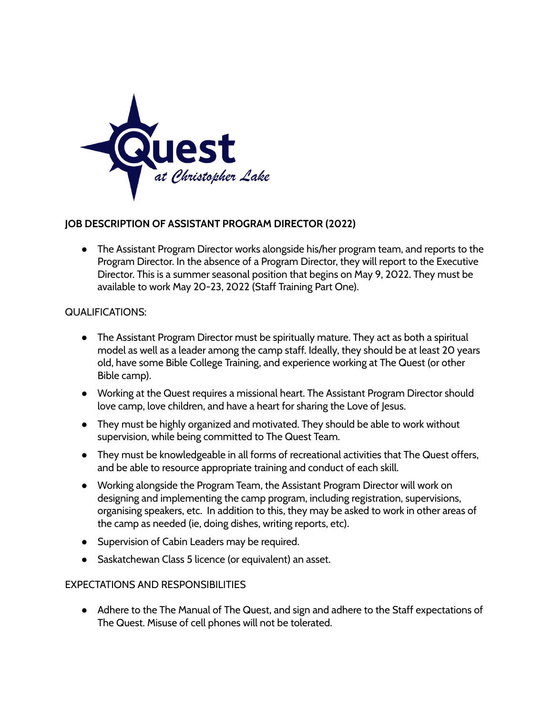

## **JOB DESCRIPTION OF ASSISTANT PROGRAM DIRECTOR (2022)**

● The Assistant Program Director works alongside his/her program team, and reports to the Program Director. In the absence of a Program Director, they will report to the Executive Director. This is a summer seasonal position that begins on May 9, 2022. They must be available to work May 20-23, 2022 (Staff Training Part One).

## QUALIFICATIONS:

- The Assistant Program Director must be spiritually mature. They act as both a spiritual model as well as a leader among the camp staff. Ideally, they should be at least 20 years old, have some Bible College Training, and experience working at The Quest (or other Bible camp).
- Working at the Quest requires a missional heart. The Assistant Program Director should love camp, love children, and have a heart for sharing the Love of Jesus.
- They must be highly organized and motivated. They should be able to work without supervision, while being committed to The Quest Team.
- They must be knowledgeable in all forms of recreational activities that The Quest offers, and be able to resource appropriate training and conduct of each skill.
- Working alongside the Program Team, the Assistant Program Director will work on designing and implementing the camp program, including registration, supervisions, organising speakers, etc. In addition to this, they may be asked to work in other areas of the camp as needed (ie, doing dishes, writing reports, etc).
- Supervision of Cabin Leaders may be required.
- Saskatchewan Class 5 licence (or equivalent) an asset.

## EXPECTATIONS AND RESPONSIBILITIES

● Adhere to the The Manual of The Quest, and sign and adhere to the Staff expectations of The Quest. Misuse of cell phones will not be tolerated.